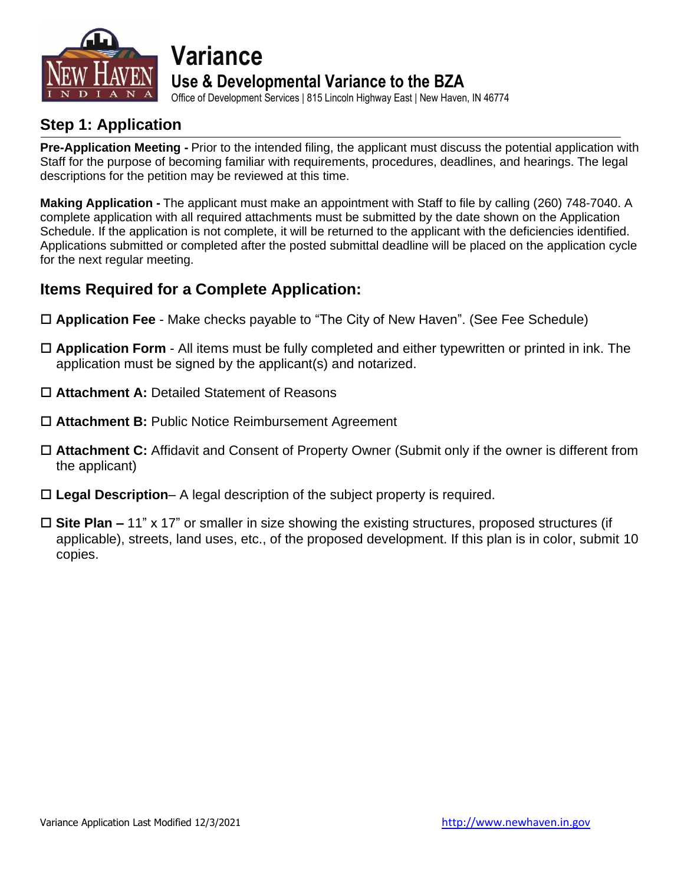

### **Variance Use & Developmental Variance to the BZA**

Office of Development Services | 815 Lincoln Highway East | New Haven, IN 46774

### **Step 1: Application**

**Pre-Application Meeting -** Prior to the intended filing, the applicant must discuss the potential application with Staff for the purpose of becoming familiar with requirements, procedures, deadlines, and hearings. The legal descriptions for the petition may be reviewed at this time.

**Making Application -** The applicant must make an appointment with Staff to file by calling (260) 748-7040. A complete application with all required attachments must be submitted by the date shown on the Application Schedule. If the application is not complete, it will be returned to the applicant with the deficiencies identified. Applications submitted or completed after the posted submittal deadline will be placed on the application cycle for the next regular meeting.

### **Items Required for a Complete Application:**

- **Application Fee** Make checks payable to "The City of New Haven". (See Fee Schedule)
- **Application Form** All items must be fully completed and either typewritten or printed in ink. The application must be signed by the applicant(s) and notarized.
- **Attachment A:** Detailed Statement of Reasons
- **Attachment B:** Public Notice Reimbursement Agreement
- **Attachment C:** Affidavit and Consent of Property Owner (Submit only if the owner is different from the applicant)
- **Legal Description** A legal description of the subject property is required.
- **Site Plan –** 11" x 17" or smaller in size showing the existing structures, proposed structures (if applicable), streets, land uses, etc., of the proposed development. If this plan is in color, submit 10 copies.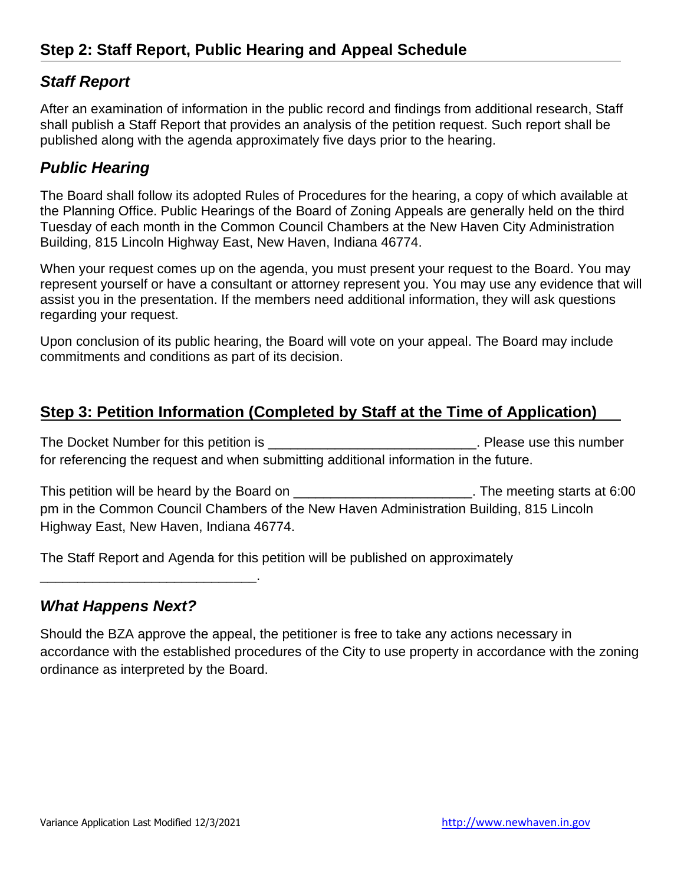### *Staff Report*

After an examination of information in the public record and findings from additional research, Staff shall publish a Staff Report that provides an analysis of the petition request. Such report shall be published along with the agenda approximately five days prior to the hearing.

### *Public Hearing*

The Board shall follow its adopted Rules of Procedures for the hearing, a copy of which available at the Planning Office. Public Hearings of the Board of Zoning Appeals are generally held on the third Tuesday of each month in the Common Council Chambers at the New Haven City Administration Building, 815 Lincoln Highway East, New Haven, Indiana 46774.

When your request comes up on the agenda, you must present your request to the Board. You may represent yourself or have a consultant or attorney represent you. You may use any evidence that will assist you in the presentation. If the members need additional information, they will ask questions regarding your request.

Upon conclusion of its public hearing, the Board will vote on your appeal. The Board may include commitments and conditions as part of its decision.

### **Step 3: Petition Information (Completed by Staff at the Time of Application)**

The Docket Number for this petition is \_\_\_\_\_\_\_\_\_\_\_\_\_\_\_\_\_\_\_\_\_\_\_\_\_\_\_\_\_\_\_\_\_. Please use this number for referencing the request and when submitting additional information in the future.

This petition will be heard by the Board on \_\_\_\_\_\_\_\_\_\_\_\_\_\_\_\_\_\_\_\_\_\_\_\_\_\_. The meeting starts at 6:00 pm in the Common Council Chambers of the New Haven Administration Building, 815 Lincoln Highway East, New Haven, Indiana 46774.

The Staff Report and Agenda for this petition will be published on approximately

#### *What Happens Next?*

\_\_\_\_\_\_\_\_\_\_\_\_\_\_\_\_\_\_\_\_\_\_\_\_\_\_\_\_\_.

Should the BZA approve the appeal, the petitioner is free to take any actions necessary in accordance with the established procedures of the City to use property in accordance with the zoning ordinance as interpreted by the Board.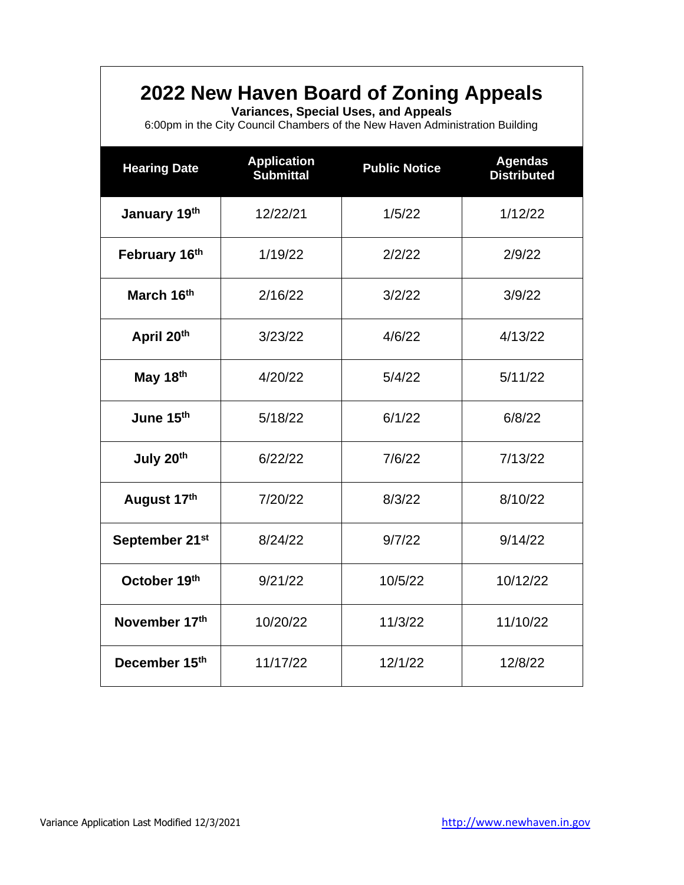### **2022 New Haven Board of Zoning Appeals**

**Variances, Special Uses, and Appeals**

6:00pm in the City Council Chambers of the New Haven Administration Building

| <b>Hearing Date</b>        | <b>Application</b><br><b>Submittal</b> | <b>Public Notice</b> | <b>Agendas</b><br><b>Distributed</b> |
|----------------------------|----------------------------------------|----------------------|--------------------------------------|
| January 19th               | 12/22/21                               | 1/5/22               | 1/12/22                              |
| February 16th              | 1/19/22                                | 2/2/22               | 2/9/22                               |
| March 16th                 | 2/16/22                                | 3/2/22               | 3/9/22                               |
| April 20th                 | 3/23/22                                | 4/6/22               | 4/13/22                              |
| May 18th                   | 4/20/22                                | 5/4/22               | 5/11/22                              |
| June 15th                  | 5/18/22                                | 6/1/22               | 6/8/22                               |
| July 20th                  | 6/22/22                                | 7/6/22               | 7/13/22                              |
| August 17th                | 7/20/22                                | 8/3/22               | 8/10/22                              |
| September 21 <sup>st</sup> | 8/24/22                                | 9/7/22               | 9/14/22                              |
| October 19th               | 9/21/22                                | 10/5/22              | 10/12/22                             |
| November 17th              | 10/20/22                               | 11/3/22              | 11/10/22                             |
| December 15th              | 11/17/22                               | 12/1/22              | 12/8/22                              |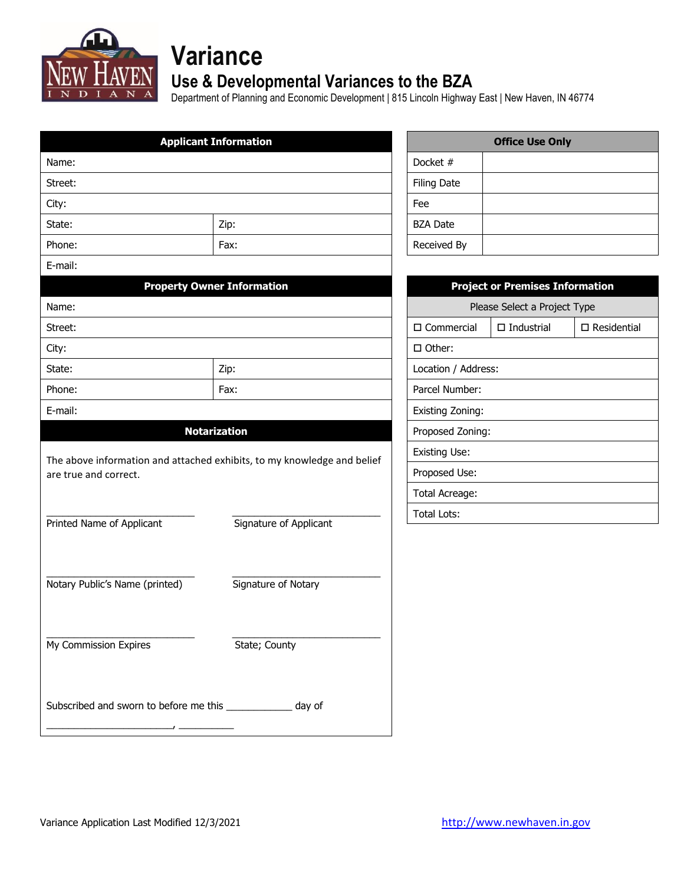

# **Variance**

### **Use & Developmental Variances to the BZA**

Department of Planning and Economic Development | 815 Lincoln Highway East | New Haven, IN 46774

|                                                                                                  | <b>Applicant Information</b>      |                         | <b>Office Use Only</b>                 |                       |
|--------------------------------------------------------------------------------------------------|-----------------------------------|-------------------------|----------------------------------------|-----------------------|
| Name:                                                                                            |                                   | Docket #                |                                        |                       |
| Street:                                                                                          |                                   | <b>Filing Date</b>      |                                        |                       |
| City:                                                                                            |                                   | Fee                     |                                        |                       |
| State:                                                                                           | Zip:                              | <b>BZA Date</b>         |                                        |                       |
| Phone:                                                                                           | Fax:                              | Received By             |                                        |                       |
| E-mail:                                                                                          |                                   |                         |                                        |                       |
|                                                                                                  | <b>Property Owner Information</b> |                         | <b>Project or Premises Information</b> |                       |
| Name:                                                                                            |                                   |                         | Please Select a Project Type           |                       |
| Street:                                                                                          |                                   | $\square$ Commercial    | $\Box$ Industrial                      | $\square$ Residential |
| City:                                                                                            |                                   | □ Other:                |                                        |                       |
| State:                                                                                           | Zip:                              | Location / Address:     |                                        |                       |
| Phone:                                                                                           | Fax:                              | Parcel Number:          |                                        |                       |
| E-mail:                                                                                          |                                   | <b>Existing Zoning:</b> |                                        |                       |
|                                                                                                  | <b>Notarization</b>               | Proposed Zoning:        |                                        |                       |
|                                                                                                  |                                   | <b>Existing Use:</b>    |                                        |                       |
| The above information and attached exhibits, to my knowledge and belief<br>are true and correct. |                                   | Proposed Use:           |                                        |                       |
|                                                                                                  |                                   | Total Acreage:          |                                        |                       |
|                                                                                                  |                                   | <b>Total Lots:</b>      |                                        |                       |
| Printed Name of Applicant                                                                        | Signature of Applicant            |                         |                                        |                       |
|                                                                                                  |                                   |                         |                                        |                       |
|                                                                                                  |                                   |                         |                                        |                       |
| Notary Public's Name (printed)                                                                   | Signature of Notary               |                         |                                        |                       |
|                                                                                                  |                                   |                         |                                        |                       |
|                                                                                                  |                                   |                         |                                        |                       |
| My Commission Expires                                                                            | State; County                     |                         |                                        |                       |
|                                                                                                  |                                   |                         |                                        |                       |
|                                                                                                  |                                   |                         |                                        |                       |
| Subscribed and sworn to before me this ______________ day of                                     |                                   |                         |                                        |                       |
|                                                                                                  |                                   |                         |                                        |                       |

| <b>Office Use Only</b> |  |  |
|------------------------|--|--|
| Docket #               |  |  |
| <b>Filing Date</b>     |  |  |
| Fee                    |  |  |
| <b>BZA Date</b>        |  |  |
| Received By            |  |  |

| <b>Project or Premises Information</b> |                      |                       |  |  |
|----------------------------------------|----------------------|-----------------------|--|--|
| Please Select a Project Type           |                      |                       |  |  |
| □ Commercial                           | $\square$ Industrial | $\square$ Residential |  |  |
| $\Box$ Other:                          |                      |                       |  |  |
| Location / Address:                    |                      |                       |  |  |
| Parcel Number:                         |                      |                       |  |  |
| <b>Existing Zoning:</b>                |                      |                       |  |  |
| Proposed Zoning:                       |                      |                       |  |  |
| Existing Use:                          |                      |                       |  |  |
| Proposed Use:                          |                      |                       |  |  |
| Total Acreage:                         |                      |                       |  |  |
| Total Lots:                            |                      |                       |  |  |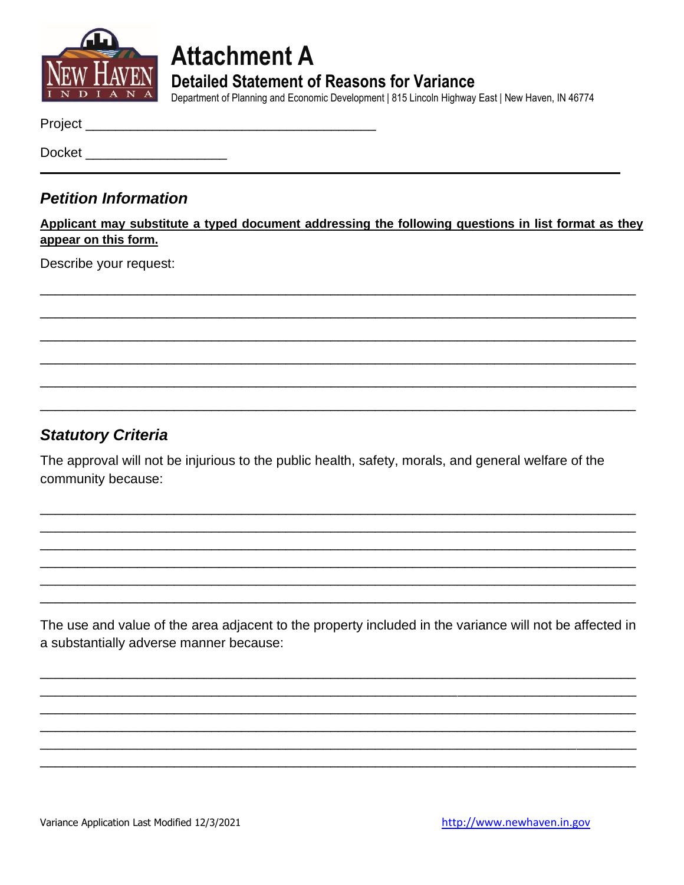

**Attachment A Detailed Statement of Reasons for Variance** 

Department of Planning and Economic Development | 815 Lincoln Highway East | New Haven, IN 46774

Docket **Docket** 

#### **Petition Information**

Applicant may substitute a typed document addressing the following questions in list format as they appear on this form.

Describe your request:

### **Statutory Criteria**

The approval will not be injurious to the public health, safety, morals, and general welfare of the community because:

The use and value of the area adjacent to the property included in the variance will not be affected in a substantially adverse manner because: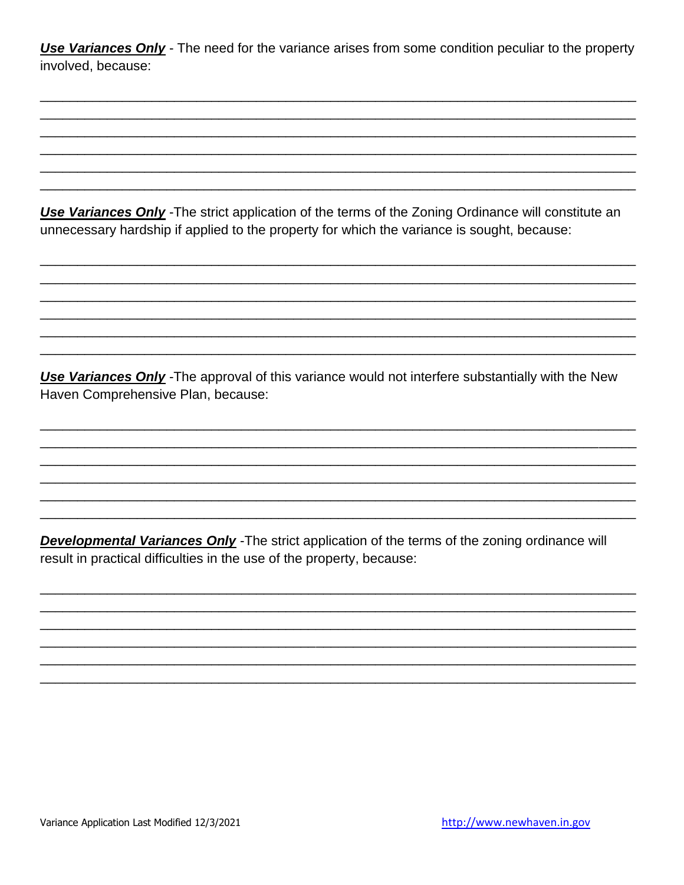**Use Variances Only** - The need for the variance arises from some condition peculiar to the property involved, because:

Use Variances Only - The strict application of the terms of the Zoning Ordinance will constitute an unnecessary hardship if applied to the property for which the variance is sought, because:

Use Variances Only - The approval of this variance would not interfere substantially with the New Haven Comprehensive Plan, because:

**Developmental Variances Only** - The strict application of the terms of the zoning ordinance will result in practical difficulties in the use of the property, because: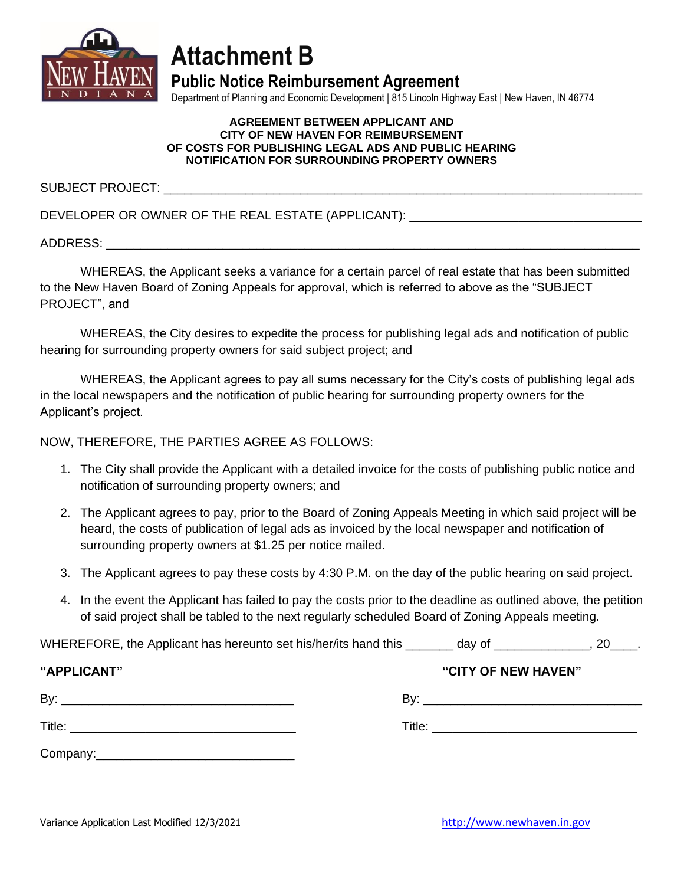

## **Attachment B**

**Public Notice Reimbursement Agreement**

Department of Planning and Economic Development | 815 Lincoln Highway East | New Haven, IN 46774

#### **AGREEMENT BETWEEN APPLICANT AND CITY OF NEW HAVEN FOR REIMBURSEMENT OF COSTS FOR PUBLISHING LEGAL ADS AND PUBLIC HEARING NOTIFICATION FOR SURROUNDING PROPERTY OWNERS**

SUBJECT PROJECT:

DEVELOPER OR OWNER OF THE REAL ESTATE (APPLICANT): \_\_\_\_\_\_\_\_\_\_\_\_\_\_\_\_\_\_\_\_\_\_\_\_\_\_\_\_\_

ADDRESS: \_\_\_\_\_\_\_\_\_\_\_\_\_\_\_\_\_\_\_\_\_\_\_\_\_\_\_\_\_\_\_\_\_\_\_\_\_\_\_\_\_\_\_\_\_\_\_\_\_\_\_\_\_\_\_\_\_\_\_\_\_\_\_\_\_\_\_\_\_\_\_\_\_\_\_\_\_\_

WHEREAS, the Applicant seeks a variance for a certain parcel of real estate that has been submitted to the New Haven Board of Zoning Appeals for approval, which is referred to above as the "SUBJECT PROJECT", and

WHEREAS, the City desires to expedite the process for publishing legal ads and notification of public hearing for surrounding property owners for said subject project; and

WHEREAS, the Applicant agrees to pay all sums necessary for the City's costs of publishing legal ads in the local newspapers and the notification of public hearing for surrounding property owners for the Applicant's project.

NOW, THEREFORE, THE PARTIES AGREE AS FOLLOWS:

- 1. The City shall provide the Applicant with a detailed invoice for the costs of publishing public notice and notification of surrounding property owners; and
- 2. The Applicant agrees to pay, prior to the Board of Zoning Appeals Meeting in which said project will be heard, the costs of publication of legal ads as invoiced by the local newspaper and notification of surrounding property owners at \$1.25 per notice mailed.
- 3. The Applicant agrees to pay these costs by 4:30 P.M. on the day of the public hearing on said project.
- 4. In the event the Applicant has failed to pay the costs prior to the deadline as outlined above, the petition of said project shall be tabled to the next regularly scheduled Board of Zoning Appeals meeting.

WHEREFORE, the Applicant has hereunto set his/her/its hand this \_\_\_\_\_\_\_ day of \_\_\_\_\_\_\_\_\_\_\_\_\_\_\_, 20\_\_\_.

| "APPLICANT" | "CITY OF NEW HAVEN" |  |
|-------------|---------------------|--|
| By:         | Bv:                 |  |
|             |                     |  |
| Title:      | Title:              |  |
|             |                     |  |
| Company:    |                     |  |

Variance Application Last Modified 12/3/2021 [http://www.newhaven.in.gov](http://www.newhaven.in.gov/)